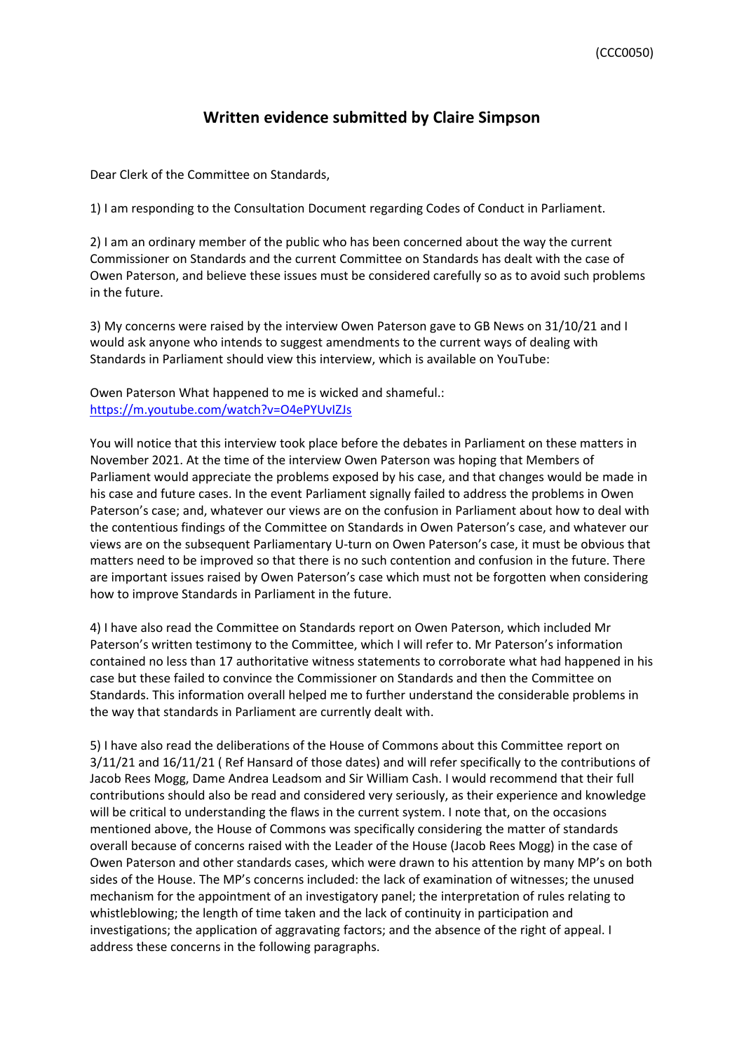## **Written evidence submitted by Claire Simpson**

Dear Clerk of the Committee on Standards,

1) I am responding to the Consultation Document regarding Codes of Conduct in Parliament.

2) I am an ordinary member of the public who has been concerned about the way the current Commissioner on Standards and the current Committee on Standards has dealt with the case of Owen Paterson, and believe these issues must be considered carefully so as to avoid such problems in the future.

3) My concerns were raised by the interview Owen Paterson gave to GB News on 31/10/21 and I would ask anyone who intends to suggest amendments to the current ways of dealing with Standards in Parliament should view this interview, which is available on YouTube:

Owen Paterson What happened to me is wicked and shameful.: [https://m.youtube.com/watch?v=O4ePYUvIZJs](https://protect-eu.mimecast.com/s/O3buCBN35CLy3vVs6qvnO?domain=m.youtube.com)

You will notice that this interview took place before the debates in Parliament on these matters in November 2021. At the time of the interview Owen Paterson was hoping that Members of Parliament would appreciate the problems exposed by his case, and that changes would be made in his case and future cases. In the event Parliament signally failed to address the problems in Owen Paterson's case; and, whatever our views are on the confusion in Parliament about how to deal with the contentious findings of the Committee on Standards in Owen Paterson's case, and whatever our views are on the subsequent Parliamentary U-turn on Owen Paterson's case, it must be obvious that matters need to be improved so that there is no such contention and confusion in the future. There are important issues raised by Owen Paterson's case which must not be forgotten when considering how to improve Standards in Parliament in the future.

4) I have also read the Committee on Standards report on Owen Paterson, which included Mr Paterson's written testimony to the Committee, which I will refer to. Mr Paterson's information contained no less than 17 authoritative witness statements to corroborate what had happened in his case but these failed to convince the Commissioner on Standards and then the Committee on Standards. This information overall helped me to further understand the considerable problems in the way that standards in Parliament are currently dealt with.

5) I have also read the deliberations of the House of Commons about this Committee report on 3/11/21 and 16/11/21 ( Ref Hansard of those dates) and will refer specifically to the contributions of Jacob Rees Mogg, Dame Andrea Leadsom and Sir William Cash. I would recommend that their full contributions should also be read and considered very seriously, as their experience and knowledge will be critical to understanding the flaws in the current system. I note that, on the occasions mentioned above, the House of Commons was specifically considering the matter of standards overall because of concerns raised with the Leader of the House (Jacob Rees Mogg) in the case of Owen Paterson and other standards cases, which were drawn to his attention by many MP's on both sides of the House. The MP's concerns included: the lack of examination of witnesses; the unused mechanism for the appointment of an investigatory panel; the interpretation of rules relating to whistleblowing; the length of time taken and the lack of continuity in participation and investigations; the application of aggravating factors; and the absence of the right of appeal. I address these concerns in the following paragraphs.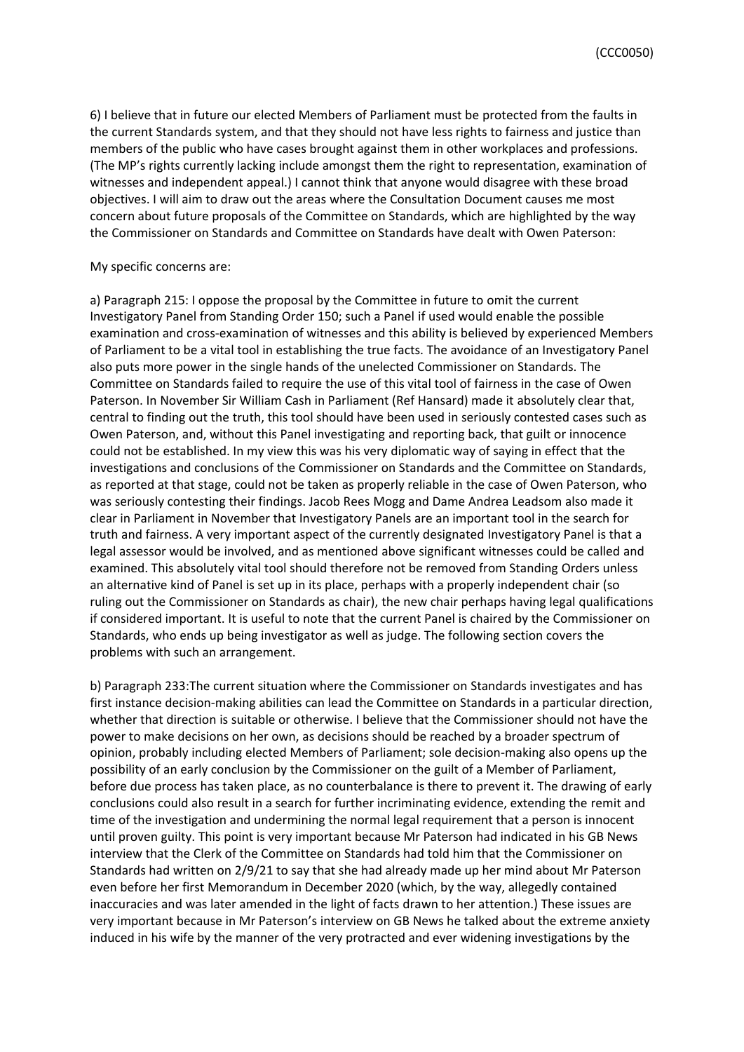6) I believe that in future our elected Members of Parliament must be protected from the faults in the current Standards system, and that they should not have less rights to fairness and justice than members of the public who have cases brought against them in other workplaces and professions. (The MP's rights currently lacking include amongst them the right to representation, examination of witnesses and independent appeal.) I cannot think that anyone would disagree with these broad objectives. I will aim to draw out the areas where the Consultation Document causes me most concern about future proposals of the Committee on Standards, which are highlighted by the way the Commissioner on Standards and Committee on Standards have dealt with Owen Paterson:

## My specific concerns are:

a) Paragraph 215: I oppose the proposal by the Committee in future to omit the current Investigatory Panel from Standing Order 150; such a Panel if used would enable the possible examination and cross-examination of witnesses and this ability is believed by experienced Members of Parliament to be a vital tool in establishing the true facts. The avoidance of an Investigatory Panel also puts more power in the single hands of the unelected Commissioner on Standards. The Committee on Standards failed to require the use of this vital tool of fairness in the case of Owen Paterson. In November Sir William Cash in Parliament (Ref Hansard) made it absolutely clear that, central to finding out the truth, this tool should have been used in seriously contested cases such as Owen Paterson, and, without this Panel investigating and reporting back, that guilt or innocence could not be established. In my view this was his very diplomatic way of saying in effect that the investigations and conclusions of the Commissioner on Standards and the Committee on Standards, as reported at that stage, could not be taken as properly reliable in the case of Owen Paterson, who was seriously contesting their findings. Jacob Rees Mogg and Dame Andrea Leadsom also made it clear in Parliament in November that Investigatory Panels are an important tool in the search for truth and fairness. A very important aspect of the currently designated Investigatory Panel is that a legal assessor would be involved, and as mentioned above significant witnesses could be called and examined. This absolutely vital tool should therefore not be removed from Standing Orders unless an alternative kind of Panel is set up in its place, perhaps with a properly independent chair (so ruling out the Commissioner on Standards as chair), the new chair perhaps having legal qualifications if considered important. It is useful to note that the current Panel is chaired by the Commissioner on Standards, who ends up being investigator as well as judge. The following section covers the problems with such an arrangement.

b) Paragraph 233:The current situation where the Commissioner on Standards investigates and has first instance decision-making abilities can lead the Committee on Standards in a particular direction, whether that direction is suitable or otherwise. I believe that the Commissioner should not have the power to make decisions on her own, as decisions should be reached by a broader spectrum of opinion, probably including elected Members of Parliament; sole decision-making also opens up the possibility of an early conclusion by the Commissioner on the guilt of a Member of Parliament, before due process has taken place, as no counterbalance is there to prevent it. The drawing of early conclusions could also result in a search for further incriminating evidence, extending the remit and time of the investigation and undermining the normal legal requirement that a person is innocent until proven guilty. This point is very important because Mr Paterson had indicated in his GB News interview that the Clerk of the Committee on Standards had told him that the Commissioner on Standards had written on 2/9/21 to say that she had already made up her mind about Mr Paterson even before her first Memorandum in December 2020 (which, by the way, allegedly contained inaccuracies and was later amended in the light of facts drawn to her attention.) These issues are very important because in Mr Paterson's interview on GB News he talked about the extreme anxiety induced in his wife by the manner of the very protracted and ever widening investigations by the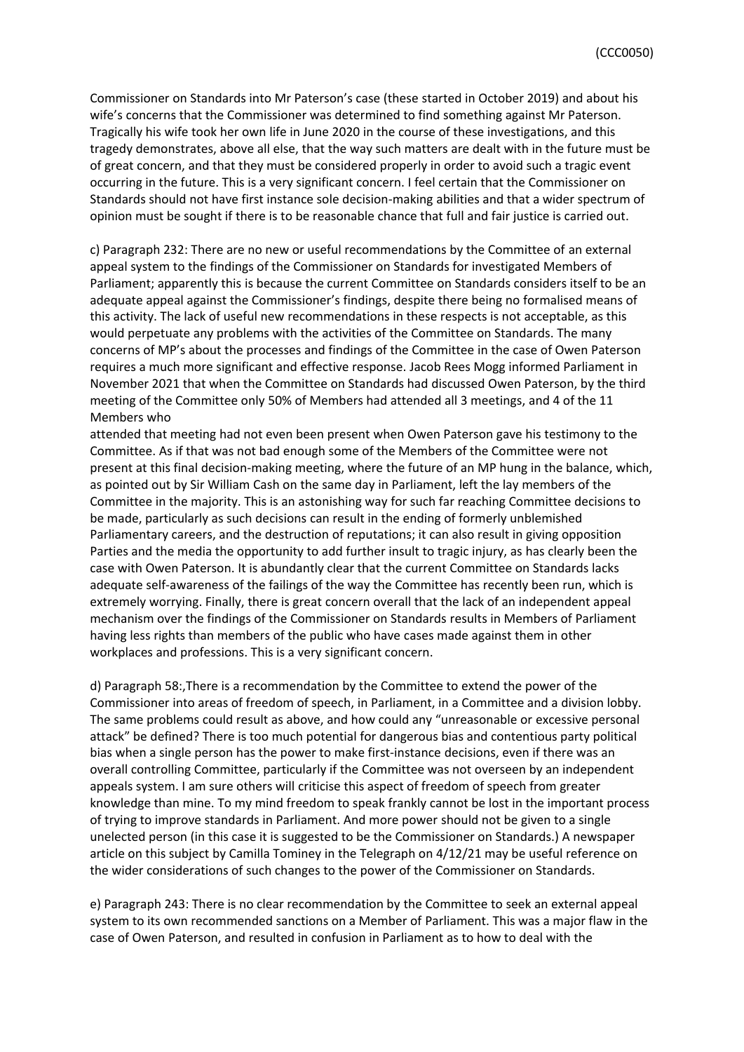Commissioner on Standards into Mr Paterson's case (these started in October 2019) and about his wife's concerns that the Commissioner was determined to find something against Mr Paterson. Tragically his wife took her own life in June 2020 in the course of these investigations, and this tragedy demonstrates, above all else, that the way such matters are dealt with in the future must be of great concern, and that they must be considered properly in order to avoid such a tragic event occurring in the future. This is a very significant concern. I feel certain that the Commissioner on Standards should not have first instance sole decision-making abilities and that a wider spectrum of opinion must be sought if there is to be reasonable chance that full and fair justice is carried out.

c) Paragraph 232: There are no new or useful recommendations by the Committee of an external appeal system to the findings of the Commissioner on Standards for investigated Members of Parliament; apparently this is because the current Committee on Standards considers itself to be an adequate appeal against the Commissioner's findings, despite there being no formalised means of this activity. The lack of useful new recommendations in these respects is not acceptable, as this would perpetuate any problems with the activities of the Committee on Standards. The many concerns of MP's about the processes and findings of the Committee in the case of Owen Paterson requires a much more significant and effective response. Jacob Rees Mogg informed Parliament in November 2021 that when the Committee on Standards had discussed Owen Paterson, by the third meeting of the Committee only 50% of Members had attended all 3 meetings, and 4 of the 11 Members who

attended that meeting had not even been present when Owen Paterson gave his testimony to the Committee. As if that was not bad enough some of the Members of the Committee were not present at this final decision-making meeting, where the future of an MP hung in the balance, which, as pointed out by Sir William Cash on the same day in Parliament, left the lay members of the Committee in the majority. This is an astonishing way for such far reaching Committee decisions to be made, particularly as such decisions can result in the ending of formerly unblemished Parliamentary careers, and the destruction of reputations; it can also result in giving opposition Parties and the media the opportunity to add further insult to tragic injury, as has clearly been the case with Owen Paterson. It is abundantly clear that the current Committee on Standards lacks adequate self-awareness of the failings of the way the Committee has recently been run, which is extremely worrying. Finally, there is great concern overall that the lack of an independent appeal mechanism over the findings of the Commissioner on Standards results in Members of Parliament having less rights than members of the public who have cases made against them in other workplaces and professions. This is a very significant concern.

d) Paragraph 58:,There is a recommendation by the Committee to extend the power of the Commissioner into areas of freedom of speech, in Parliament, in a Committee and a division lobby. The same problems could result as above, and how could any "unreasonable or excessive personal attack" be defined? There is too much potential for dangerous bias and contentious party political bias when a single person has the power to make first-instance decisions, even if there was an overall controlling Committee, particularly if the Committee was not overseen by an independent appeals system. I am sure others will criticise this aspect of freedom of speech from greater knowledge than mine. To my mind freedom to speak frankly cannot be lost in the important process of trying to improve standards in Parliament. And more power should not be given to a single unelected person (in this case it is suggested to be the Commissioner on Standards.) A newspaper article on this subject by Camilla Tominey in the Telegraph on 4/12/21 may be useful reference on the wider considerations of such changes to the power of the Commissioner on Standards.

e) Paragraph 243: There is no clear recommendation by the Committee to seek an external appeal system to its own recommended sanctions on a Member of Parliament. This was a major flaw in the case of Owen Paterson, and resulted in confusion in Parliament as to how to deal with the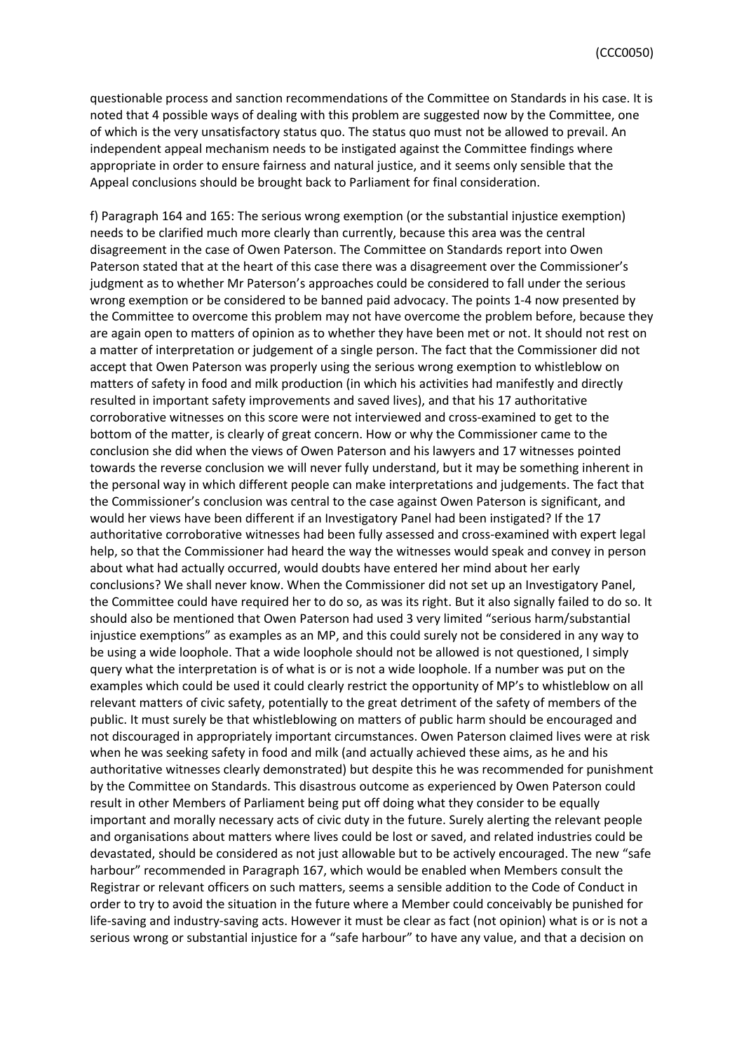questionable process and sanction recommendations of the Committee on Standards in his case. It is noted that 4 possible ways of dealing with this problem are suggested now by the Committee, one of which is the very unsatisfactory status quo. The status quo must not be allowed to prevail. An independent appeal mechanism needs to be instigated against the Committee findings where appropriate in order to ensure fairness and natural justice, and it seems only sensible that the Appeal conclusions should be brought back to Parliament for final consideration.

f) Paragraph 164 and 165: The serious wrong exemption (or the substantial injustice exemption) needs to be clarified much more clearly than currently, because this area was the central disagreement in the case of Owen Paterson. The Committee on Standards report into Owen Paterson stated that at the heart of this case there was a disagreement over the Commissioner's judgment as to whether Mr Paterson's approaches could be considered to fall under the serious wrong exemption or be considered to be banned paid advocacy. The points 1-4 now presented by the Committee to overcome this problem may not have overcome the problem before, because they are again open to matters of opinion as to whether they have been met or not. It should not rest on a matter of interpretation or judgement of a single person. The fact that the Commissioner did not accept that Owen Paterson was properly using the serious wrong exemption to whistleblow on matters of safety in food and milk production (in which his activities had manifestly and directly resulted in important safety improvements and saved lives), and that his 17 authoritative corroborative witnesses on this score were not interviewed and cross-examined to get to the bottom of the matter, is clearly of great concern. How or why the Commissioner came to the conclusion she did when the views of Owen Paterson and his lawyers and 17 witnesses pointed towards the reverse conclusion we will never fully understand, but it may be something inherent in the personal way in which different people can make interpretations and judgements. The fact that the Commissioner's conclusion was central to the case against Owen Paterson is significant, and would her views have been different if an Investigatory Panel had been instigated? If the 17 authoritative corroborative witnesses had been fully assessed and cross-examined with expert legal help, so that the Commissioner had heard the way the witnesses would speak and convey in person about what had actually occurred, would doubts have entered her mind about her early conclusions? We shall never know. When the Commissioner did not set up an Investigatory Panel, the Committee could have required her to do so, as was its right. But it also signally failed to do so. It should also be mentioned that Owen Paterson had used 3 very limited "serious harm/substantial injustice exemptions" as examples as an MP, and this could surely not be considered in any way to be using a wide loophole. That a wide loophole should not be allowed is not questioned, I simply query what the interpretation is of what is or is not a wide loophole. If a number was put on the examples which could be used it could clearly restrict the opportunity of MP's to whistleblow on all relevant matters of civic safety, potentially to the great detriment of the safety of members of the public. It must surely be that whistleblowing on matters of public harm should be encouraged and not discouraged in appropriately important circumstances. Owen Paterson claimed lives were at risk when he was seeking safety in food and milk (and actually achieved these aims, as he and his authoritative witnesses clearly demonstrated) but despite this he was recommended for punishment by the Committee on Standards. This disastrous outcome as experienced by Owen Paterson could result in other Members of Parliament being put off doing what they consider to be equally important and morally necessary acts of civic duty in the future. Surely alerting the relevant people and organisations about matters where lives could be lost or saved, and related industries could be devastated, should be considered as not just allowable but to be actively encouraged. The new "safe harbour" recommended in Paragraph 167, which would be enabled when Members consult the Registrar or relevant officers on such matters, seems a sensible addition to the Code of Conduct in order to try to avoid the situation in the future where a Member could conceivably be punished for life-saving and industry-saving acts. However it must be clear as fact (not opinion) what is or is not a serious wrong or substantial injustice for a "safe harbour" to have any value, and that a decision on